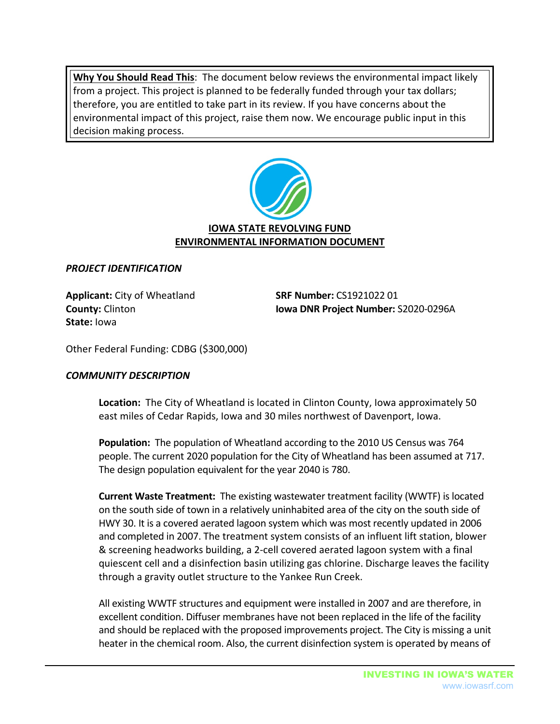**Why You Should Read This**: The document below reviews the environmental impact likely from a project. This project is planned to be federally funded through your tax dollars; therefore, you are entitled to take part in its review. If you have concerns about the environmental impact of this project, raise them now. We encourage public input in this decision making process.



# *PROJECT IDENTIFICATION*

**Applicant:** City of Wheatland **SRF Number:** CS1921022 01 **State:** Iowa

**County:** Clinton **Iowa DNR Project Number:** S2020-0296A

Other Federal Funding: CDBG (\$300,000)

## *COMMUNITY DESCRIPTION*

**Location:** The City of Wheatland is located in Clinton County, Iowa approximately 50 east miles of Cedar Rapids, Iowa and 30 miles northwest of Davenport, Iowa.

**Population:** The population of Wheatland according to the 2010 US Census was 764 people. The current 2020 population for the City of Wheatland has been assumed at 717. The design population equivalent for the year 2040 is 780.

**Current Waste Treatment:** The existing wastewater treatment facility (WWTF) is located on the south side of town in a relatively uninhabited area of the city on the south side of HWY 30. It is a covered aerated lagoon system which was most recently updated in 2006 and completed in 2007. The treatment system consists of an influent lift station, blower & screening headworks building, a 2-cell covered aerated lagoon system with a final quiescent cell and a disinfection basin utilizing gas chlorine. Discharge leaves the facility through a gravity outlet structure to the Yankee Run Creek.

All existing WWTF structures and equipment were installed in 2007 and are therefore, in excellent condition. Diffuser membranes have not been replaced in the life of the facility and should be replaced with the proposed improvements project. The City is missing a unit heater in the chemical room. Also, the current disinfection system is operated by means of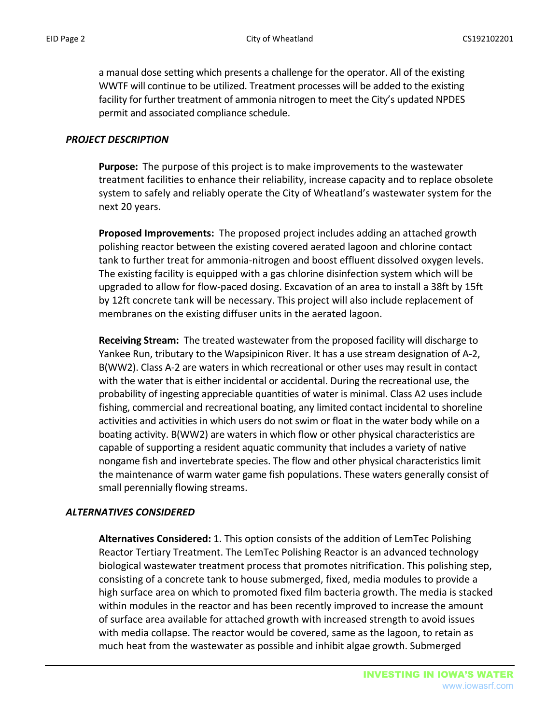a manual dose setting which presents a challenge for the operator. All of the existing WWTF will continue to be utilized. Treatment processes will be added to the existing facility for further treatment of ammonia nitrogen to meet the City's updated NPDES permit and associated compliance schedule.

#### *PROJECT DESCRIPTION*

**Purpose:** The purpose of this project is to make improvements to the wastewater treatment facilities to enhance their reliability, increase capacity and to replace obsolete system to safely and reliably operate the City of Wheatland's wastewater system for the next 20 years.

**Proposed Improvements:** The proposed project includes adding an attached growth polishing reactor between the existing covered aerated lagoon and chlorine contact tank to further treat for ammonia-nitrogen and boost effluent dissolved oxygen levels. The existing facility is equipped with a gas chlorine disinfection system which will be upgraded to allow for flow-paced dosing. Excavation of an area to install a 38ft by 15ft by 12ft concrete tank will be necessary. This project will also include replacement of membranes on the existing diffuser units in the aerated lagoon.

**Receiving Stream:** The treated wastewater from the proposed facility will discharge to Yankee Run, tributary to the Wapsipinicon River. It has a use stream designation of A-2, B(WW2). Class A-2 are waters in which recreational or other uses may result in contact with the water that is either incidental or accidental. During the recreational use, the probability of ingesting appreciable quantities of water is minimal. Class A2 uses include fishing, commercial and recreational boating, any limited contact incidental to shoreline activities and activities in which users do not swim or float in the water body while on a boating activity. B(WW2) are waters in which flow or other physical characteristics are capable of supporting a resident aquatic community that includes a variety of native nongame fish and invertebrate species. The flow and other physical characteristics limit the maintenance of warm water game fish populations. These waters generally consist of small perennially flowing streams.

## *ALTERNATIVES CONSIDERED*

**Alternatives Considered:** 1. This option consists of the addition of LemTec Polishing Reactor Tertiary Treatment. The LemTec Polishing Reactor is an advanced technology biological wastewater treatment process that promotes nitrification. This polishing step, consisting of a concrete tank to house submerged, fixed, media modules to provide a high surface area on which to promoted fixed film bacteria growth. The media is stacked within modules in the reactor and has been recently improved to increase the amount of surface area available for attached growth with increased strength to avoid issues with media collapse. The reactor would be covered, same as the lagoon, to retain as much heat from the wastewater as possible and inhibit algae growth. Submerged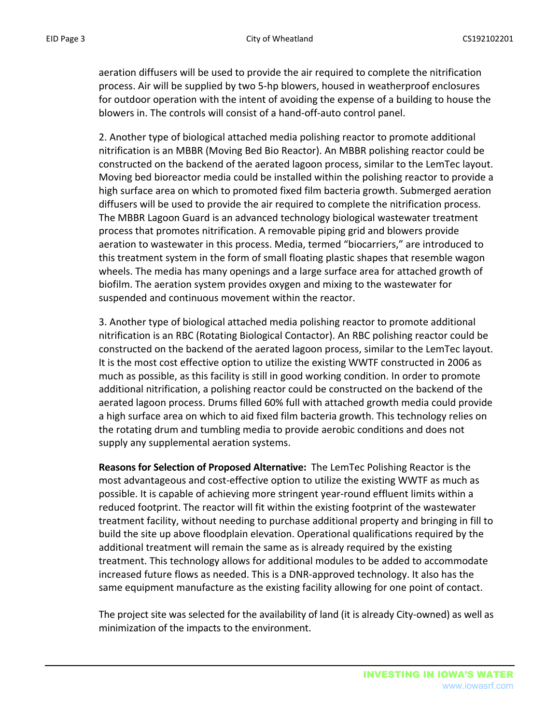aeration diffusers will be used to provide the air required to complete the nitrification process. Air will be supplied by two 5-hp blowers, housed in weatherproof enclosures for outdoor operation with the intent of avoiding the expense of a building to house the blowers in. The controls will consist of a hand-off-auto control panel.

2. Another type of biological attached media polishing reactor to promote additional nitrification is an MBBR (Moving Bed Bio Reactor). An MBBR polishing reactor could be constructed on the backend of the aerated lagoon process, similar to the LemTec layout. Moving bed bioreactor media could be installed within the polishing reactor to provide a high surface area on which to promoted fixed film bacteria growth. Submerged aeration diffusers will be used to provide the air required to complete the nitrification process. The MBBR Lagoon Guard is an advanced technology biological wastewater treatment process that promotes nitrification. A removable piping grid and blowers provide aeration to wastewater in this process. Media, termed "biocarriers," are introduced to this treatment system in the form of small floating plastic shapes that resemble wagon wheels. The media has many openings and a large surface area for attached growth of biofilm. The aeration system provides oxygen and mixing to the wastewater for suspended and continuous movement within the reactor.

3. Another type of biological attached media polishing reactor to promote additional nitrification is an RBC (Rotating Biological Contactor). An RBC polishing reactor could be constructed on the backend of the aerated lagoon process, similar to the LemTec layout. It is the most cost effective option to utilize the existing WWTF constructed in 2006 as much as possible, as this facility is still in good working condition. In order to promote additional nitrification, a polishing reactor could be constructed on the backend of the aerated lagoon process. Drums filled 60% full with attached growth media could provide a high surface area on which to aid fixed film bacteria growth. This technology relies on the rotating drum and tumbling media to provide aerobic conditions and does not supply any supplemental aeration systems.

**Reasons for Selection of Proposed Alternative:** The LemTec Polishing Reactor is the most advantageous and cost-effective option to utilize the existing WWTF as much as possible. It is capable of achieving more stringent year-round effluent limits within a reduced footprint. The reactor will fit within the existing footprint of the wastewater treatment facility, without needing to purchase additional property and bringing in fill to build the site up above floodplain elevation. Operational qualifications required by the additional treatment will remain the same as is already required by the existing treatment. This technology allows for additional modules to be added to accommodate increased future flows as needed. This is a DNR-approved technology. It also has the same equipment manufacture as the existing facility allowing for one point of contact.

The project site was selected for the availability of land (it is already City-owned) as well as minimization of the impacts to the environment.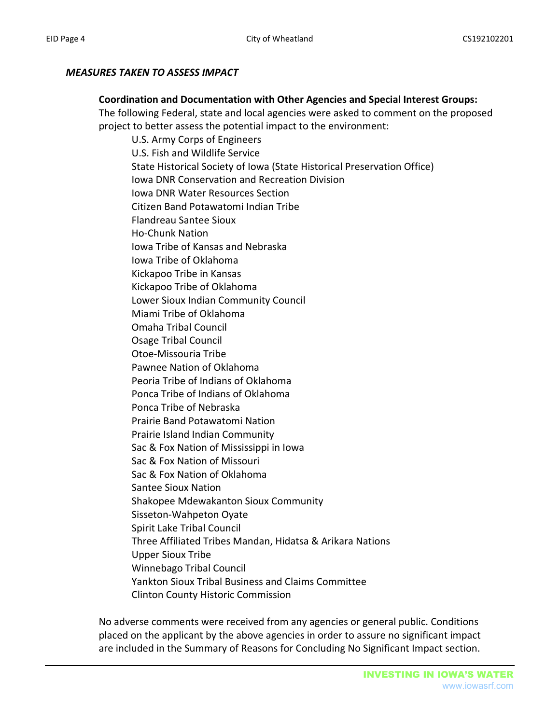# *MEASURES TAKEN TO ASSESS IMPACT*

#### **Coordination and Documentation with Other Agencies and Special Interest Groups:**

The following Federal, state and local agencies were asked to comment on the proposed project to better assess the potential impact to the environment:

U.S. Army Corps of Engineers U.S. Fish and Wildlife Service State Historical Society of Iowa (State Historical Preservation Office) Iowa DNR Conservation and Recreation Division Iowa DNR Water Resources Section Citizen Band Potawatomi Indian Tribe Flandreau Santee Sioux Ho-Chunk Nation Iowa Tribe of Kansas and Nebraska Iowa Tribe of Oklahoma Kickapoo Tribe in Kansas Kickapoo Tribe of Oklahoma Lower Sioux Indian Community Council Miami Tribe of Oklahoma Omaha Tribal Council Osage Tribal Council Otoe-Missouria Tribe Pawnee Nation of Oklahoma Peoria Tribe of Indians of Oklahoma Ponca Tribe of Indians of Oklahoma Ponca Tribe of Nebraska Prairie Band Potawatomi Nation Prairie Island Indian Community Sac & Fox Nation of Mississippi in Iowa Sac & Fox Nation of Missouri Sac & Fox Nation of Oklahoma Santee Sioux Nation Shakopee Mdewakanton Sioux Community Sisseton-Wahpeton Oyate Spirit Lake Tribal Council Three Affiliated Tribes Mandan, Hidatsa & Arikara Nations Upper Sioux Tribe Winnebago Tribal Council Yankton Sioux Tribal Business and Claims Committee Clinton County Historic Commission

No adverse comments were received from any agencies or general public. Conditions placed on the applicant by the above agencies in order to assure no significant impact are included in the Summary of Reasons for Concluding No Significant Impact section.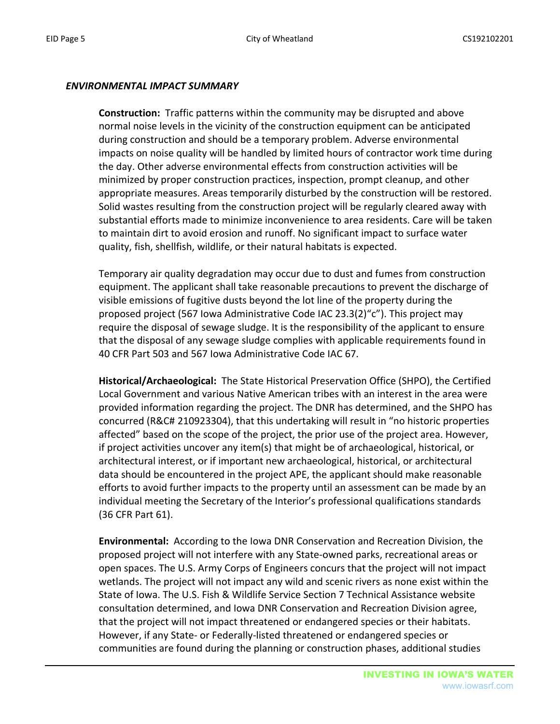#### *ENVIRONMENTAL IMPACT SUMMARY*

**Construction:** Traffic patterns within the community may be disrupted and above normal noise levels in the vicinity of the construction equipment can be anticipated during construction and should be a temporary problem. Adverse environmental impacts on noise quality will be handled by limited hours of contractor work time during the day. Other adverse environmental effects from construction activities will be minimized by proper construction practices, inspection, prompt cleanup, and other appropriate measures. Areas temporarily disturbed by the construction will be restored. Solid wastes resulting from the construction project will be regularly cleared away with substantial efforts made to minimize inconvenience to area residents. Care will be taken to maintain dirt to avoid erosion and runoff. No significant impact to surface water quality, fish, shellfish, wildlife, or their natural habitats is expected.

Temporary air quality degradation may occur due to dust and fumes from construction equipment. The applicant shall take reasonable precautions to prevent the discharge of visible emissions of fugitive dusts beyond the lot line of the property during the proposed project (567 Iowa Administrative Code IAC 23.3(2)"c"). This project may require the disposal of sewage sludge. It is the responsibility of the applicant to ensure that the disposal of any sewage sludge complies with applicable requirements found in 40 CFR Part 503 and 567 Iowa Administrative Code IAC 67.

**Historical/Archaeological:** The State Historical Preservation Office (SHPO), the Certified Local Government and various Native American tribes with an interest in the area were provided information regarding the project. The DNR has determined, and the SHPO has concurred (R&C# 210923304), that this undertaking will result in "no historic properties affected" based on the scope of the project, the prior use of the project area. However, if project activities uncover any item(s) that might be of archaeological, historical, or architectural interest, or if important new archaeological, historical, or architectural data should be encountered in the project APE, the applicant should make reasonable efforts to avoid further impacts to the property until an assessment can be made by an individual meeting the Secretary of the Interior's professional qualifications standards (36 CFR Part 61).

**Environmental:** According to the Iowa DNR Conservation and Recreation Division, the proposed project will not interfere with any State-owned parks, recreational areas or open spaces. The U.S. Army Corps of Engineers concurs that the project will not impact wetlands. The project will not impact any wild and scenic rivers as none exist within the State of Iowa. The U.S. Fish & Wildlife Service Section 7 Technical Assistance website consultation determined, and Iowa DNR Conservation and Recreation Division agree, that the project will not impact threatened or endangered species or their habitats. However, if any State- or Federally-listed threatened or endangered species or communities are found during the planning or construction phases, additional studies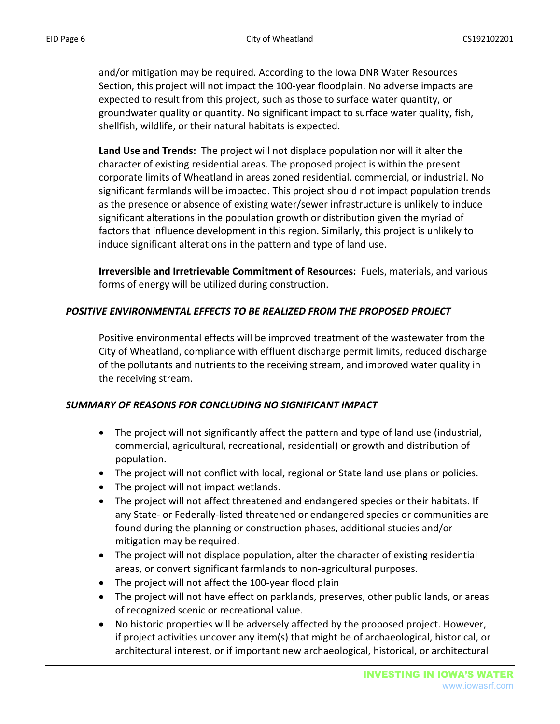and/or mitigation may be required. According to the Iowa DNR Water Resources Section, this project will not impact the 100-year floodplain. No adverse impacts are expected to result from this project, such as those to surface water quantity, or groundwater quality or quantity. No significant impact to surface water quality, fish, shellfish, wildlife, or their natural habitats is expected.

**Land Use and Trends:** The project will not displace population nor will it alter the character of existing residential areas. The proposed project is within the present corporate limits of Wheatland in areas zoned residential, commercial, or industrial. No significant farmlands will be impacted. This project should not impact population trends as the presence or absence of existing water/sewer infrastructure is unlikely to induce significant alterations in the population growth or distribution given the myriad of factors that influence development in this region. Similarly, this project is unlikely to induce significant alterations in the pattern and type of land use.

**Irreversible and Irretrievable Commitment of Resources:** Fuels, materials, and various forms of energy will be utilized during construction.

# *POSITIVE ENVIRONMENTAL EFFECTS TO BE REALIZED FROM THE PROPOSED PROJECT*

Positive environmental effects will be improved treatment of the wastewater from the City of Wheatland, compliance with effluent discharge permit limits, reduced discharge of the pollutants and nutrients to the receiving stream, and improved water quality in the receiving stream.

## *SUMMARY OF REASONS FOR CONCLUDING NO SIGNIFICANT IMPACT*

- The project will not significantly affect the pattern and type of land use (industrial, commercial, agricultural, recreational, residential) or growth and distribution of population.
- The project will not conflict with local, regional or State land use plans or policies.
- The project will not impact wetlands.
- The project will not affect threatened and endangered species or their habitats. If any State- or Federally-listed threatened or endangered species or communities are found during the planning or construction phases, additional studies and/or mitigation may be required.
- The project will not displace population, alter the character of existing residential areas, or convert significant farmlands to non-agricultural purposes.
- The project will not affect the 100-year flood plain
- The project will not have effect on parklands, preserves, other public lands, or areas of recognized scenic or recreational value.
- No historic properties will be adversely affected by the proposed project. However, if project activities uncover any item(s) that might be of archaeological, historical, or architectural interest, or if important new archaeological, historical, or architectural